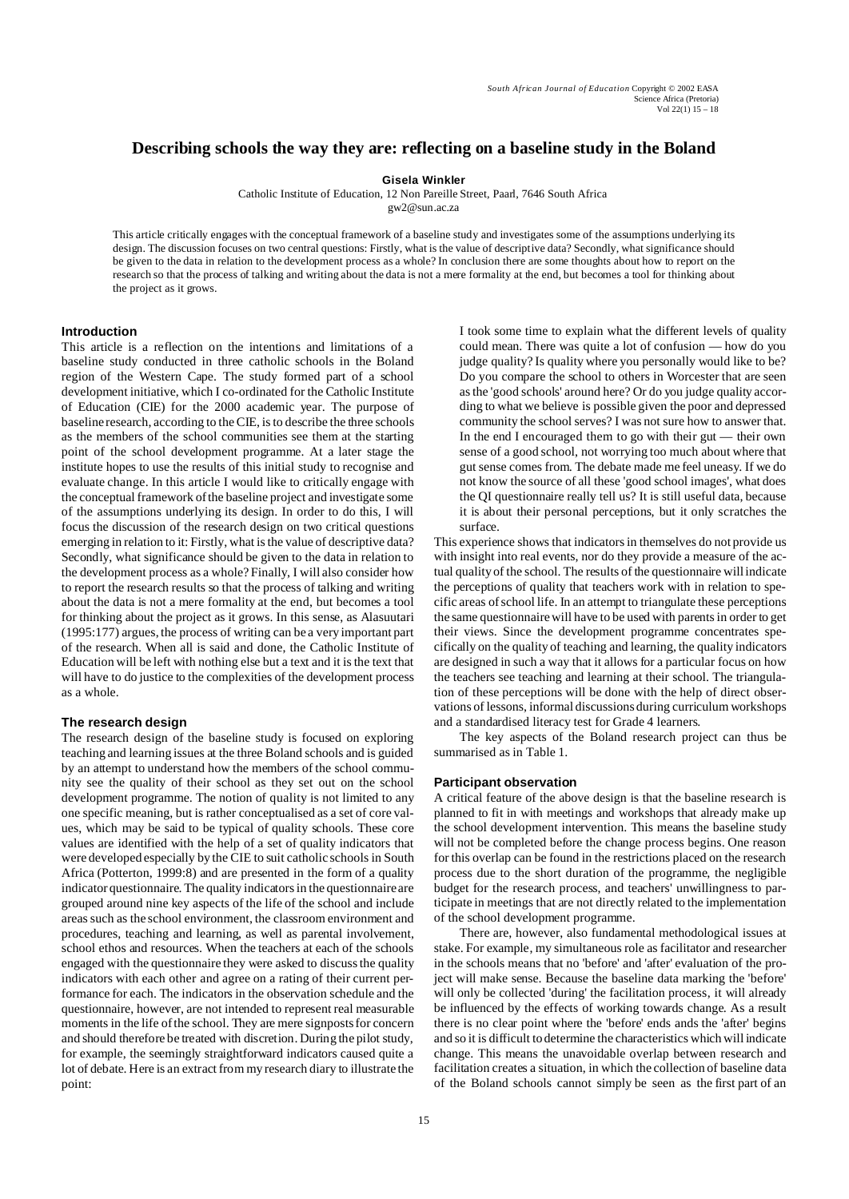# **Describing schools the way they are: reflecting on a baseline study in the Boland**

**Gisela Winkler**

Catholic Institute of Education, 12 Non Pareille Street, Paarl, 7646 South Africa gw2@sun.ac.za

This article critically engages with the conceptual framework of a baseline study and investigates some of the assumptions underlying its design. The discussion focuses on two central questions: Firstly, what is the value of descriptive data? Secondly, what significance should be given to the data in relation to the development process as a whole? In conclusion there are some thoughts about how to report on the research so that the process of talking and writing about the data is not a mere formality at the end, but becomes a tool for thinking about the project as it grows.

### **Introduction**

This article is a reflection on the intentions and limitations of a baseline study conducted in three catholic schools in the Boland region of the Western Cape. The study formed part of a school development initiative, which I co-ordinated for the Catholic Institute of Education (CIE) for the 2000 academic year. The purpose of baseline research, according to the CIE, is to describe the three schools as the members of the school communities see them at the starting point of the school development programme. At a later stage the institute hopes to use the results of this initial study to recognise and evaluate change. In this article I would like to critically engage with the conceptual framework of the baseline project and investigate some of the assumptions underlying its design. In order to do this, I will focus the discussion of the research design on two critical questions emerging in relation to it: Firstly, what is the value of descriptive data? Secondly, what significance should be given to the data in relation to the development process as a whole? Finally, I will also consider how to report the research results so that the process of talking and writing about the data is not a mere formality at the end, but becomes a tool for thinking about the project as it grows. In this sense, as Alasuutari (1995:177) argues, the process of writing can be a very important part of the research. When all is said and done, the Catholic Institute of Education will be left with nothing else but a text and it is the text that will have to do justice to the complexities of the development process as a whole.

# **The research design**

The research design of the baseline study is focused on exploring teaching and learning issues at the three Boland schools and is guided by an attempt to understand how the members of the school community see the quality of their school as they set out on the school development programme. The notion of quality is not limited to any one specific meaning, but is rather conceptualised as a set of core values, which may be said to be typical of quality schools. These core values are identified with the help of a set of quality indicators that were developed especially by the CIE to suit catholic schools in South Africa (Potterton, 1999:8) and are presented in the form of a quality indicator questionnaire. The quality indicators in the questionnaire are grouped around nine key aspects of the life of the school and include areas such as the school environment, the classroom environment and procedures, teaching and learning, as well as parental involvement, school ethos and resources. When the teachers at each of the schools engaged with the questionnaire they were asked to discuss the quality indicators with each other and agree on a rating of their current performance for each. The indicators in the observation schedule and the questionnaire, however, are not intended to represent real measurable moments in the life of the school. They are mere signposts for concern and should therefore be treated with discretion. During the pilot study, for example, the seemingly straightforward indicators caused quite a lot of debate. Here is an extract from my research diary to illustrate the point:

I took some time to explain what the different levels of quality could mean. There was quite a lot of confusion — how do you judge quality? Is quality where you personally would like to be? Do you compare the school to others in Worcester that are seen as the 'good schools' around here? Or do you judge quality according to what we believe is possible given the poor and depressed community the school serves? I was not sure how to answer that. In the end I encouraged them to go with their gut — their own sense of a good school, not worrying too much about where that gut sense comes from. The debate made me feel uneasy. If we do not know the source of all these 'good school images', what does the QI questionnaire really tell us? It is still useful data, because it is about their personal perceptions, but it only scratches the surface.

This experience shows that indicators in themselves do not provide us with insight into real events, nor do they provide a measure of the actual quality of the school. The results of the questionnaire will indicate the perceptions of quality that teachers work with in relation to specific areas of school life. In an attempt to triangulate these perceptions the same questionnaire will have to be used with parents in order to get their views. Since the development programme concentrates specifically on the quality of teaching and learning, the quality indicators are designed in such a way that it allows for a particular focus on how the teachers see teaching and learning at their school. The triangulation of these perceptions will be done with the help of direct observations of lessons, informal discussions during curriculum workshops and a standardised literacy test for Grade 4 learners.

The key aspects of the Boland research project can thus be summarised as in Table 1.

#### **Participant observation**

A critical feature of the above design is that the baseline research is planned to fit in with meetings and workshops that already make up the school development intervention. This means the baseline study will not be completed before the change process begins. One reason for this overlap can be found in the restrictions placed on the research process due to the short duration of the programme, the negligible budget for the research process, and teachers' unwillingness to participate in meetings that are not directly related to the implementation of the school development programme.

There are, however, also fundamental methodological issues at stake. For example, my simultaneous role as facilitator and researcher in the schools means that no 'before' and 'after' evaluation of the project will make sense. Because the baseline data marking the 'before' will only be collected 'during' the facilitation process, it will already be influenced by the effects of working towards change. As a result there is no clear point where the 'before' ends ands the 'after' begins and so it is difficult to determine the characteristics which will indicate change. This means the unavoidable overlap between research and facilitation creates a situation, in which the collection of baseline data of the Boland schools cannot simply be seen as the first part of an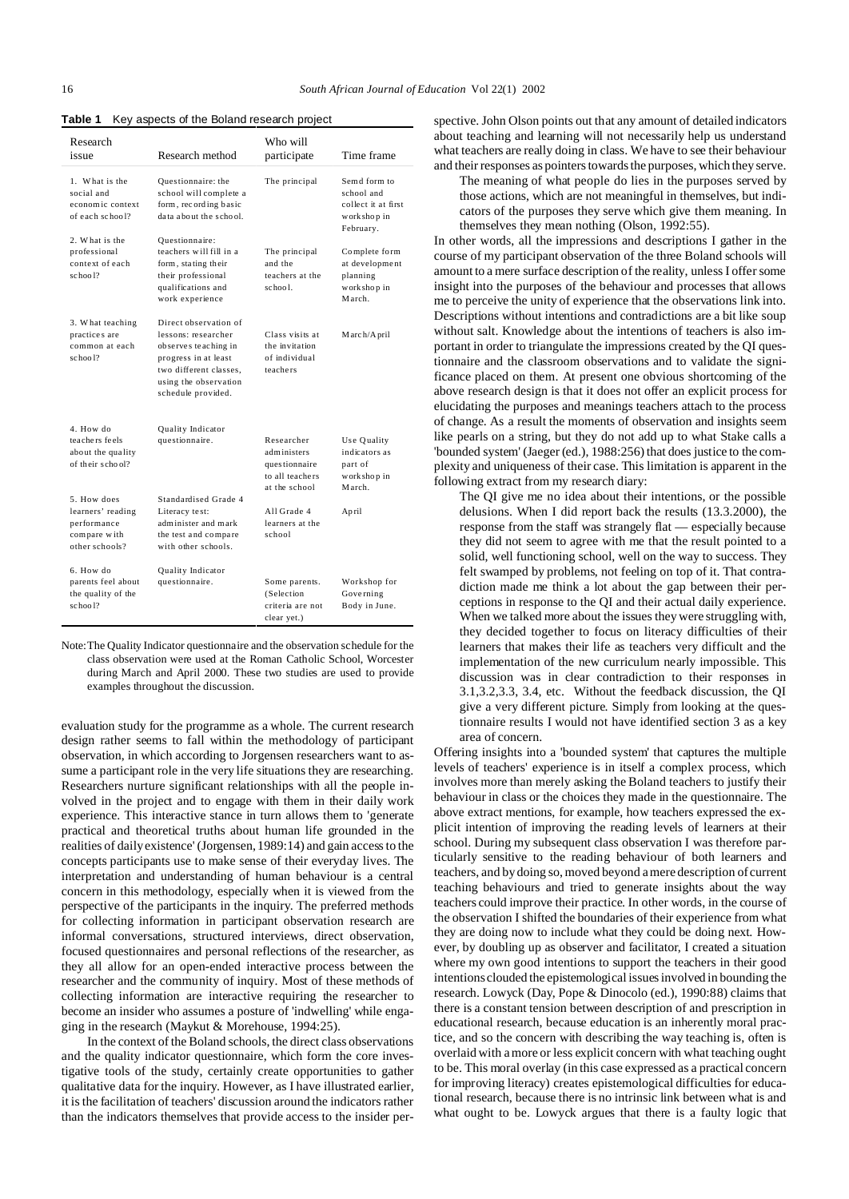**Table 1** Key aspects of the Boland research project

| Research<br>issue                                                                 | Research method                                                                                                                                                       | Who will<br>participate                                                        | Time frame                                                                     |
|-----------------------------------------------------------------------------------|-----------------------------------------------------------------------------------------------------------------------------------------------------------------------|--------------------------------------------------------------------------------|--------------------------------------------------------------------------------|
| 1. What is the<br>social and<br>economic context<br>of each school?               | Questionnaire: the<br>school will complete a<br>form, recording basic<br>data about the school.                                                                       | The principal                                                                  | Semd form to<br>school and<br>collect it at first<br>work shop in<br>February. |
| 2. What is the<br>professional<br>context of each<br>school?                      | Questionnaire:<br>teachers will fill in a<br>form, stating their<br>their professional<br>qualifications and<br>work experience                                       | The principal<br>and the<br>teachers at the<br>school.                         | Complete form<br>at development<br>planning<br>work shop in<br>March.          |
| 3. What teaching<br>practices are<br>common at each<br>$sc$ hoo $12$              | Direct observation of<br>lessons: researcher<br>observes teaching in<br>progress in at least<br>two different classes.<br>using the observation<br>schedule provided. | Class visits at<br>the invitation<br>of individual<br>teachers                 | M arch/A pril                                                                  |
| 4. How do<br>teachers feels<br>about the quality<br>of their school?              | Quality Indicator<br>questionnaire.                                                                                                                                   | Researcher<br>administers<br>questionnaire<br>to all teachers<br>at the school | Use Quality<br>indicators as<br>part of<br>work shop in<br>March.              |
| 5. How does<br>learners' reading<br>performance<br>compare with<br>other schools? | Standardised Grade 4<br>Literacy test:<br>administer and mark<br>the test and compare<br>with other schools.                                                          | All Grade 4<br>learners at the<br>school                                       | April                                                                          |
| 6. How do<br>parents feel about<br>the quality of the<br>$sc$ hoo $12$            | Quality Indicator<br>questionnaire.                                                                                                                                   | Some parents.<br>(Selection)<br>criteria are not<br>clear yet.)                | Workshop for<br>Governing<br>Body in June.                                     |

Note:The Quality Indicator questionnaire and the observation schedule for the class observation were used at the Roman Catholic School, Worcester during March and April 2000. These two studies are used to provide examples throughout the discussion.

evaluation study for the programme as a whole. The current research design rather seems to fall within the methodology of participant observation, in which according to Jorgensen researchers want to assume a participant role in the very life situations they are researching. Researchers nurture significant relationships with all the people involved in the project and to engage with them in their daily work experience. This interactive stance in turn allows them to 'generate practical and theoretical truths about human life grounded in the realities of daily existence' (Jorgensen, 1989:14) and gain access to the concepts participants use to make sense of their everyday lives. The interpretation and understanding of human behaviour is a central concern in this methodology, especially when it is viewed from the perspective of the participants in the inquiry. The preferred methods for collecting information in participant observation research are informal conversations, structured interviews, direct observation, focused questionnaires and personal reflections of the researcher, as they all allow for an open-ended interactive process between the researcher and the community of inquiry. Most of these methods of collecting information are interactive requiring the researcher to become an insider who assumes a posture of 'indwelling' while engaging in the research (Maykut & Morehouse, 1994:25).

In the context of the Boland schools, the direct class observations and the quality indicator questionnaire, which form the core investigative tools of the study, certainly create opportunities to gather qualitative data for the inquiry. However, as I have illustrated earlier, it is the facilitation of teachers' discussion around the indicators rather than the indicators themselves that provide access to the insider perspective. John Olson points out that any amount of detailed indicators about teaching and learning will not necessarily help us understand what teachers are really doing in class. We have to see their behaviour and their responses as pointers towards the purposes, which they serve.

The meaning of what people do lies in the purposes served by those actions, which are not meaningful in themselves, but indicators of the purposes they serve which give them meaning. In themselves they mean nothing (Olson, 1992:55).

In other words, all the impressions and descriptions I gather in the course of my participant observation of the three Boland schools will amount to a mere surface description of the reality, unless I offer some insight into the purposes of the behaviour and processes that allows me to perceive the unity of experience that the observations link into. Descriptions without intentions and contradictions are a bit like soup without salt. Knowledge about the intentions of teachers is also important in order to triangulate the impressions created by the QI questionnaire and the classroom observations and to validate the significance placed on them. At present one obvious shortcoming of the above research design is that it does not offer an explicit process for elucidating the purposes and meanings teachers attach to the process of change. As a result the moments of observation and insights seem like pearls on a string, but they do not add up to what Stake calls a 'bounded system' (Jaeger (ed.), 1988:256) that does justice to the complexity and uniqueness of their case. This limitation is apparent in the following extract from my research diary:

The QI give me no idea about their intentions, or the possible delusions. When I did report back the results (13.3.2000), the response from the staff was strangely flat — especially because they did not seem to agree with me that the result pointed to a solid, well functioning school, well on the way to success. They felt swamped by problems, not feeling on top of it. That contradiction made me think a lot about the gap between their perceptions in response to the QI and their actual daily experience. When we talked more about the issues they were struggling with, they decided together to focus on literacy difficulties of their learners that makes their life as teachers very difficult and the implementation of the new curriculum nearly impossible. This discussion was in clear contradiction to their responses in 3.1,3.2,3.3, 3.4, etc. Without the feedback discussion, the QI give a very different picture. Simply from looking at the questionnaire results I would not have identified section 3 as a key area of concern.

Offering insights into a 'bounded system' that captures the multiple levels of teachers' experience is in itself a complex process, which involves more than merely asking the Boland teachers to justify their behaviour in class or the choices they made in the questionnaire. The above extract mentions, for example, how teachers expressed the explicit intention of improving the reading levels of learners at their school. During my subsequent class observation I was therefore particularly sensitive to the reading behaviour of both learners and teachers, and by doing so, moved beyond a mere description of current teaching behaviours and tried to generate insights about the way teachers could improve their practice. In other words, in the course of the observation I shifted the boundaries of their experience from what they are doing now to include what they could be doing next. However, by doubling up as observer and facilitator, I created a situation where my own good intentions to support the teachers in their good intentions clouded the epistemological issues involved in bounding the research. Lowyck (Day, Pope & Dinocolo (ed.), 1990:88) claims that there is a constant tension between description of and prescription in educational research, because education is an inherently moral practice, and so the concern with describing the way teaching is, often is overlaid with a more or less explicit concern with what teaching ought to be. This moral overlay (in this case expressed as a practical concern for improving literacy) creates epistemological difficulties for educational research, because there is no intrinsic link between what is and what ought to be. Lowyck argues that there is a faulty logic that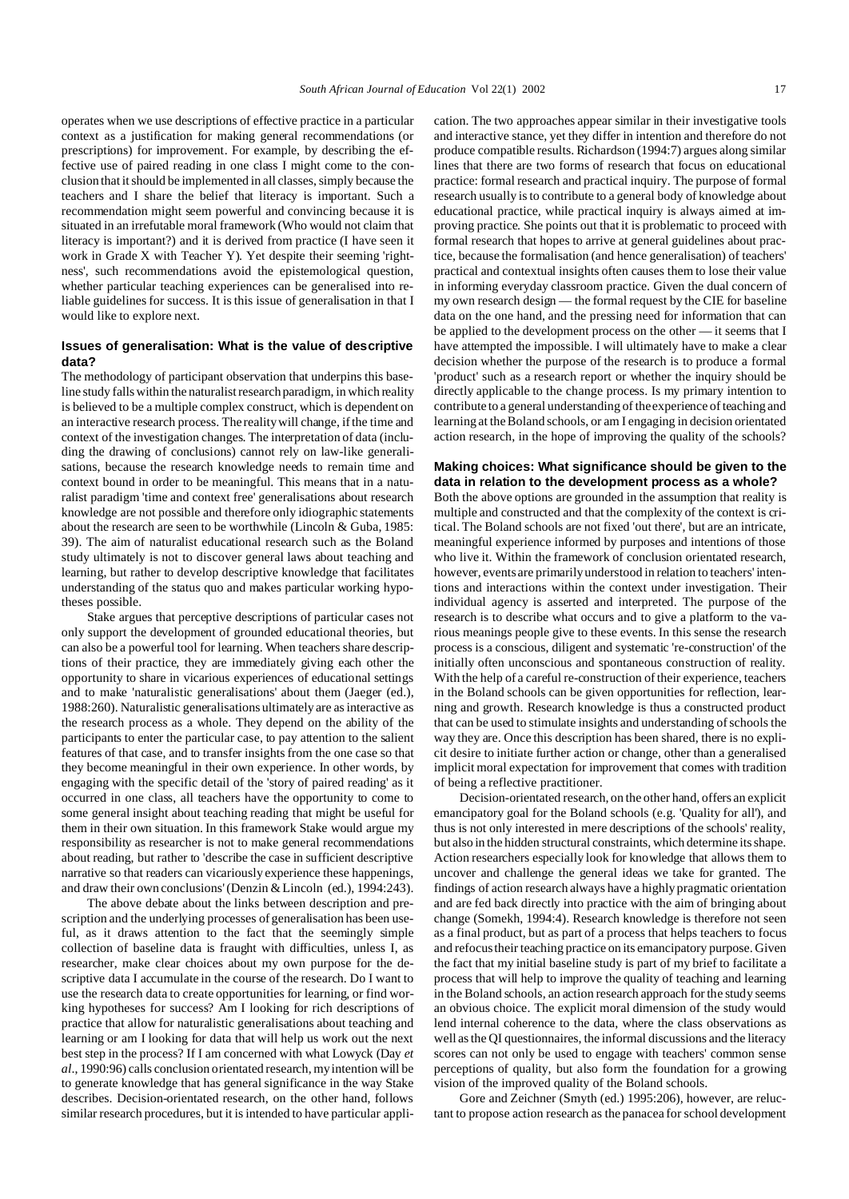operates when we use descriptions of effective practice in a particular context as a justification for making general recommendations (or prescriptions) for improvement. For example, by describing the effective use of paired reading in one class I might come to the conclusion that it should be implemented in all classes, simply because the teachers and I share the belief that literacy is important. Such a recommendation might seem powerful and convincing because it is situated in an irrefutable moral framework (Who would not claim that literacy is important?) and it is derived from practice (I have seen it work in Grade X with Teacher Y). Yet despite their seeming 'rightness', such recommendations avoid the epistemological question, whether particular teaching experiences can be generalised into reliable guidelines for success. It is this issue of generalisation in that I would like to explore next.

## **Issues of generalisation: What is the value of descriptive data?**

The methodology of participant observation that underpins this baseline study falls within the naturalist research paradigm, in which reality is believed to be a multiple complex construct, which is dependent on an interactive research process. The reality will change, if the time and context of the investigation changes. The interpretation of data (including the drawing of conclusions) cannot rely on law-like generalisations, because the research knowledge needs to remain time and context bound in order to be meaningful. This means that in a naturalist paradigm 'time and context free' generalisations about research knowledge are not possible and therefore only idiographic statements about the research are seen to be worthwhile (Lincoln & Guba, 1985: 39). The aim of naturalist educational research such as the Boland study ultimately is not to discover general laws about teaching and learning, but rather to develop descriptive knowledge that facilitates understanding of the status quo and makes particular working hypotheses possible.

Stake argues that perceptive descriptions of particular cases not only support the development of grounded educational theories, but can also be a powerful tool for learning. When teachers share descriptions of their practice, they are immediately giving each other the opportunity to share in vicarious experiences of educational settings and to make 'naturalistic generalisations' about them (Jaeger (ed.), 1988:260). Naturalistic generalisations ultimately are as interactive as the research process as a whole. They depend on the ability of the participants to enter the particular case, to pay attention to the salient features of that case, and to transfer insights from the one case so that they become meaningful in their own experience. In other words, by engaging with the specific detail of the 'story of paired reading' as it occurred in one class, all teachers have the opportunity to come to some general insight about teaching reading that might be useful for them in their own situation. In this framework Stake would argue my responsibility as researcher is not to make general recommendations about reading, but rather to 'describe the case in sufficient descriptive narrative so that readers can vicariously experience these happenings, and draw their own conclusions' (Denzin & Lincoln (ed.), 1994:243).

The above debate about the links between description and prescription and the underlying processes of generalisation has been useful, as it draws attention to the fact that the seemingly simple collection of baseline data is fraught with difficulties, unless I, as researcher, make clear choices about my own purpose for the descriptive data I accumulate in the course of the research. Do I want to use the research data to create opportunities for learning, or find working hypotheses for success? Am I looking for rich descriptions of practice that allow for naturalistic generalisations about teaching and learning or am I looking for data that will help us work out the next best step in the process? If I am concerned with what Lowyck (Day *et al*., 1990:96) calls conclusion orientated research, my intention will be to generate knowledge that has general significance in the way Stake describes. Decision-orientated research, on the other hand, follows similar research procedures, but it is intended to have particular application. The two approaches appear similar in their investigative tools and interactive stance, yet they differ in intention and therefore do not produce compatible results. Richardson (1994:7) argues along similar lines that there are two forms of research that focus on educational practice: formal research and practical inquiry. The purpose of formal research usually is to contribute to a general body of knowledge about educational practice, while practical inquiry is always aimed at improving practice. She points out that it is problematic to proceed with formal research that hopes to arrive at general guidelines about practice, because the formalisation (and hence generalisation) of teachers' practical and contextual insights often causes them to lose their value in informing everyday classroom practice. Given the dual concern of my own research design — the formal request by the CIE for baseline data on the one hand, and the pressing need for information that can be applied to the development process on the other — it seems that I have attempted the impossible. I will ultimately have to make a clear decision whether the purpose of the research is to produce a formal 'product' such as a research report or whether the inquiry should be directly applicable to the change process. Is my primary intention to contribute to a general understanding of the experience of teaching and learning at the Boland schools, or am I engaging in decision orientated action research, in the hope of improving the quality of the schools?

### **Making choices: What significance should be given to the data in relation to the development process as a whole?**

Both the above options are grounded in the assumption that reality is multiple and constructed and that the complexity of the context is critical. The Boland schools are not fixed 'out there', but are an intricate, meaningful experience informed by purposes and intentions of those who live it. Within the framework of conclusion orientated research, however, events are primarily understood in relation to teachers' intentions and interactions within the context under investigation. Their individual agency is asserted and interpreted. The purpose of the research is to describe what occurs and to give a platform to the various meanings people give to these events. In this sense the research process is a conscious, diligent and systematic 're-construction' of the initially often unconscious and spontaneous construction of reality. With the help of a careful re-construction of their experience, teachers in the Boland schools can be given opportunities for reflection, learning and growth. Research knowledge is thus a constructed product that can be used to stimulate insights and understanding of schools the way they are. Once this description has been shared, there is no explicit desire to initiate further action or change, other than a generalised implicit moral expectation for improvement that comes with tradition of being a reflective practitioner.

Decision-orientated research, on the other hand, offers an explicit emancipatory goal for the Boland schools (e.g. 'Quality for all'), and thus is not only interested in mere descriptions of the schools' reality, but also in the hidden structural constraints, which determine its shape. Action researchers especially look for knowledge that allows them to uncover and challenge the general ideas we take for granted. The findings of action research always have a highly pragmatic orientation and are fed back directly into practice with the aim of bringing about change (Somekh, 1994:4). Research knowledge is therefore not seen as a final product, but as part of a process that helps teachers to focus and refocus their teaching practice on its emancipatory purpose. Given the fact that my initial baseline study is part of my brief to facilitate a process that will help to improve the quality of teaching and learning in the Boland schools, an action research approach for the study seems an obvious choice. The explicit moral dimension of the study would lend internal coherence to the data, where the class observations as well as the QI questionnaires, the informal discussions and the literacy scores can not only be used to engage with teachers' common sense perceptions of quality, but also form the foundation for a growing vision of the improved quality of the Boland schools.

Gore and Zeichner (Smyth (ed.) 1995:206), however, are reluctant to propose action research as the panacea for school development